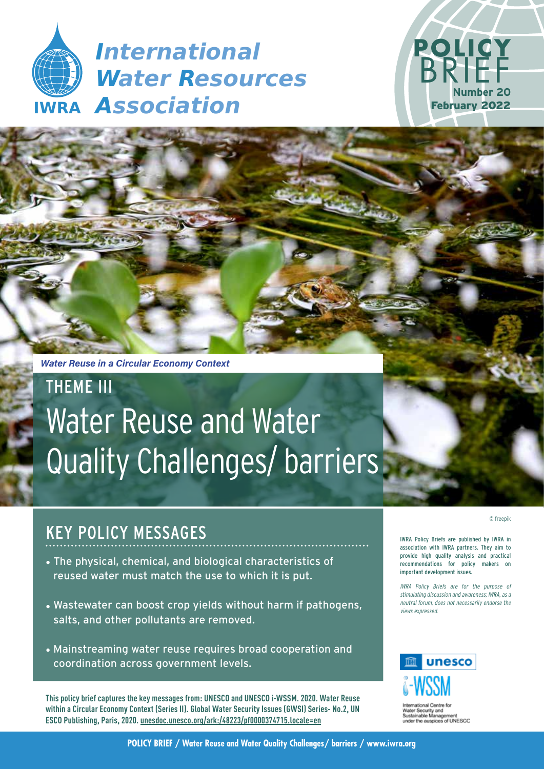



*Water Reuse in a Circular Economy Context*

# THEME III Water Reuse and Water Quality Challenges/ barriers

# KEY POLICY MESSAGES

- The physical, chemical, and biological characteristics of reused water must match the use to which it is put.
- Wastewater can boost crop yields without harm if pathogens, salts, and other pollutants are removed.
- Mainstreaming water reuse requires broad cooperation and coordination across government levels.

**This policy brief captures the key messages from: UNESCO and UNESCO i-WSSM. 2020. Water Reuse within a Circular Economy Context (Series II). Global Water Security Issues (GWSI) Series- No.2, UN ESCO Publishing, Paris, 2020. unesdoc.unesco.org/ark:/48223/pf0000374715.locale=en**

© freepik

IWRA Policy Briefs are published by IWRA in association with IWRA partners. They aim to provide high quality analysis and practical recommendations for policy makers on important development issues.

IWRA Policy Briefs are for the purpose of stimulating discussion and awareness; IWRA, as a neutral forum, does not necessarily endorse the views expressed.



of UNESCO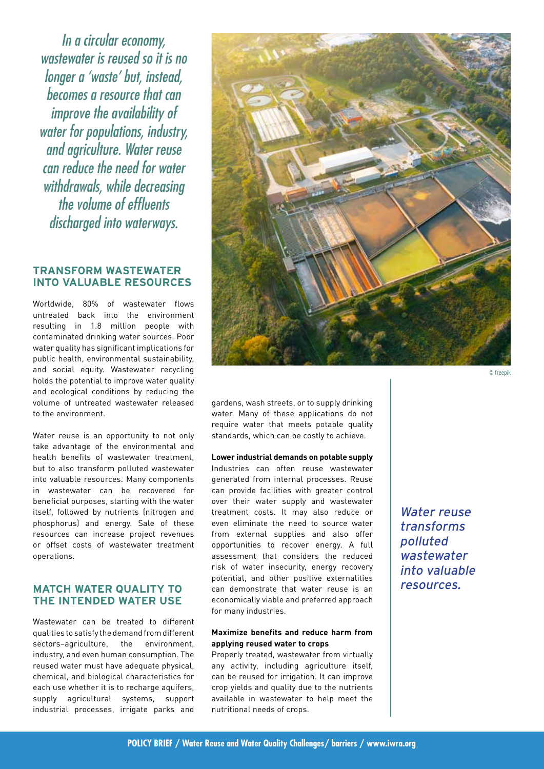In a circular economy, wastewater is reused so it is no longer a 'waste' but, instead, becomes a resource that can improve the availability of water for populations, industry, and agriculture. Water reuse can reduce the need for water withdrawals, while decreasing the volume of effluents discharged into waterways.

### **TRANSFORM WASTEWATER INTO VALUABLE RESOURCES**

Worldwide, 80% of wastewater flows untreated back into the environment resulting in 1.8 million people with contaminated drinking water sources. Poor water quality has significant implications for public health, environmental sustainability, and social equity. Wastewater recycling holds the potential to improve water quality and ecological conditions by reducing the volume of untreated wastewater released to the environment.

Water reuse is an opportunity to not only take advantage of the environmental and health benefits of wastewater treatment, but to also transform polluted wastewater into valuable resources. Many components in wastewater can be recovered for beneficial purposes, starting with the water itself, followed by nutrients (nitrogen and phosphorus) and energy. Sale of these resources can increase project revenues or offset costs of wastewater treatment operations.

# **MATCH WATER QUALITY TO THE INTENDED WATER USE**

Wastewater can be treated to different qualities to satisfy the demand from different sectors–agriculture, the environment, industry, and even human consumption. The reused water must have adequate physical, chemical, and biological characteristics for each use whether it is to recharge aquifers. supply agricultural systems, support industrial processes, irrigate parks and



© freepik

gardens, wash streets, or to supply drinking water. Many of these applications do not require water that meets potable quality standards, which can be costly to achieve.

#### **Lower industrial demands on potable supply**

Industries can often reuse wastewater generated from internal processes. Reuse can provide facilities with greater control over their water supply and wastewater treatment costs. It may also reduce or even eliminate the need to source water from external supplies and also offer opportunities to recover energy. A full assessment that considers the reduced risk of water insecurity, energy recovery potential, and other positive externalities can demonstrate that water reuse is an economically viable and preferred approach for many industries.

#### **Maximize benefits and reduce harm from applying reused water to crops**

Properly treated, wastewater from virtually any activity, including agriculture itself, can be reused for irrigation. It can improve crop yields and quality due to the nutrients available in wastewater to help meet the nutritional needs of crops.

Water reuse transforms polluted wastewater into valuable resources.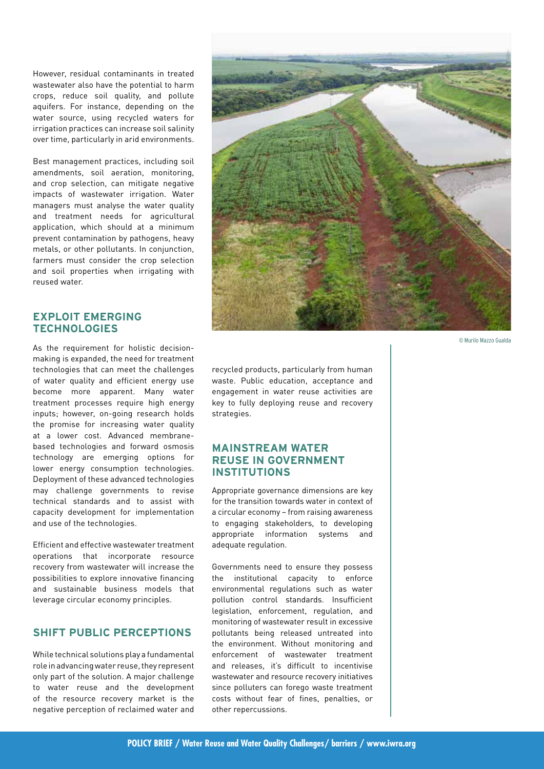However, residual contaminants in treated wastewater also have the potential to harm crops, reduce soil quality, and pollute aquifers. For instance, depending on the water source, using recycled waters for irrigation practices can increase soil salinity over time, particularly in arid environments.

Best management practices, including soil amendments, soil aeration, monitoring, and crop selection, can mitigate negative impacts of wastewater irrigation. Water managers must analyse the water quality and treatment needs for agricultural application, which should at a minimum prevent contamination by pathogens, heavy metals, or other pollutants. In conjunction, farmers must consider the crop selection and soil properties when irrigating with reused water.

# **EXPLOIT EMERGING TECHNOLOGIES**

As the requirement for holistic decisionmaking is expanded, the need for treatment technologies that can meet the challenges of water quality and efficient energy use become more apparent. Many water treatment processes require high energy inputs; however, on-going research holds the promise for increasing water quality at a lower cost. Advanced membranebased technologies and forward osmosis technology are emerging options for lower energy consumption technologies. Deployment of these advanced technologies may challenge governments to revise technical standards and to assist with capacity development for implementation and use of the technologies.

Efficient and effective wastewater treatment operations that incorporate resource recovery from wastewater will increase the possibilities to explore innovative financing and sustainable business models that leverage circular economy principles.

## **SHIFT PUBLIC PERCEPTIONS**

While technical solutions play a fundamental role in advancing water reuse, they represent only part of the solution. A major challenge to water reuse and the development of the resource recovery market is the negative perception of reclaimed water and



© Murilo Mazzo Gualda

recycled products, particularly from human waste. Public education, acceptance and engagement in water reuse activities are key to fully deploying reuse and recovery strategies.

# **MAINSTREAM WATER REUSE IN GOVERNMENT INSTITUTIONS**

Appropriate governance dimensions are key for the transition towards water in context of a circular economy – from raising awareness to engaging stakeholders, to developing appropriate information systems and adequate regulation.

Governments need to ensure they possess the institutional capacity to enforce environmental regulations such as water pollution control standards. Insufficient legislation, enforcement, regulation, and monitoring of wastewater result in excessive pollutants being released untreated into the environment. Without monitoring and enforcement of wastewater treatment and releases, it's difficult to incentivise wastewater and resource recovery initiatives since polluters can forego waste treatment costs without fear of fines, penalties, or other repercussions.